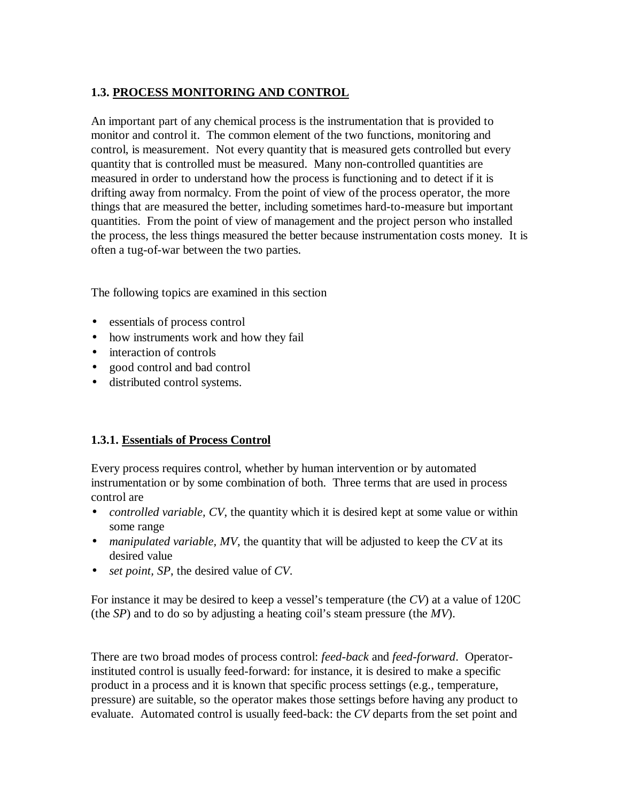# **1.3. PROCESS MONITORING AND CONTROL**

An important part of any chemical process is the instrumentation that is provided to monitor and control it. The common element of the two functions, monitoring and control, is measurement. Not every quantity that is measured gets controlled but every quantity that is controlled must be measured. Many non-controlled quantities are measured in order to understand how the process is functioning and to detect if it is drifting away from normalcy. From the point of view of the process operator, the more things that are measured the better, including sometimes hard-to-measure but important quantities. From the point of view of management and the project person who installed the process, the less things measured the better because instrumentation costs money. It is often a tug-of-war between the two parties.

The following topics are examined in this section

- essentials of process control
- how instruments work and how they fail
- interaction of controls
- good control and bad control
- distributed control systems.

### **1.3.1. Essentials of Process Control**

Every process requires control, whether by human intervention or by automated instrumentation or by some combination of both. Three terms that are used in process control are

- *controlled variable, CV*, the quantity which it is desired kept at some value or within some range
- *manipulated variable, MV*, the quantity that will be adjusted to keep the *CV* at its desired value
- *set point, SP*, the desired value of *CV*.

For instance it may be desired to keep a vessel's temperature (the *CV*) at a value of 120C (the *SP*) and to do so by adjusting a heating coil's steam pressure (the *MV*).

There are two broad modes of process control: *feed-back* and *feed-forward*. Operatorinstituted control is usually feed-forward: for instance, it is desired to make a specific product in a process and it is known that specific process settings (e.g., temperature, pressure) are suitable, so the operator makes those settings before having any product to evaluate. Automated control is usually feed-back: the *CV* departs from the set point and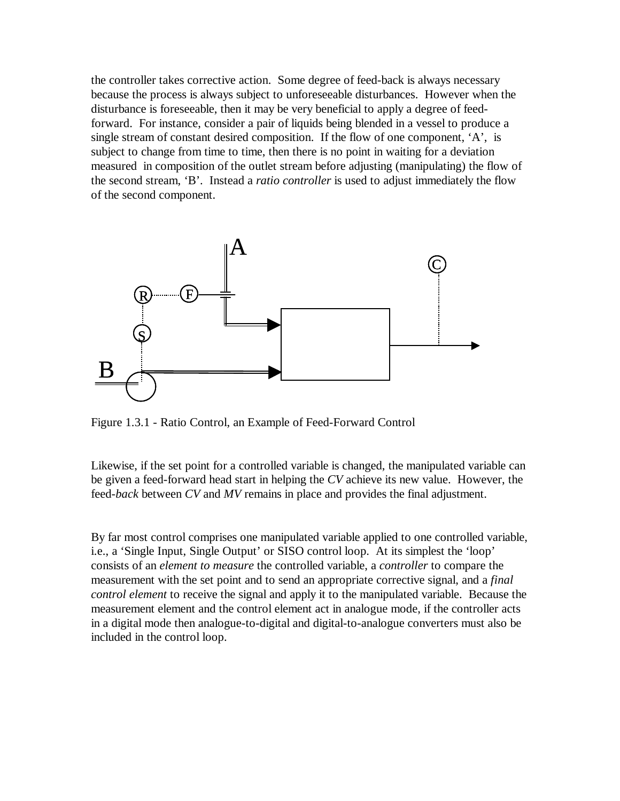the controller takes corrective action. Some degree of feed-back is always necessary because the process is always subject to unforeseeable disturbances. However when the disturbance is foreseeable, then it may be very beneficial to apply a degree of feedforward. For instance, consider a pair of liquids being blended in a vessel to produce a single stream of constant desired composition. If the flow of one component, 'A', is subject to change from time to time, then there is no point in waiting for a deviation measured in composition of the outlet stream before adjusting (manipulating) the flow of the second stream, 'B'. Instead a *ratio controller* is used to adjust immediately the flow of the second component.



Figure 1.3.1 - Ratio Control, an Example of Feed-Forward Control

Likewise, if the set point for a controlled variable is changed, the manipulated variable can be given a feed-forward head start in helping the *CV* achieve its new value. However, the feed-*back* between *CV* and *MV* remains in place and provides the final adjustment.

By far most control comprises one manipulated variable applied to one controlled variable, i.e., a 'Single Input, Single Output' or SISO control loop. At its simplest the 'loop' consists of an *element to measure* the controlled variable, a *controller* to compare the measurement with the set point and to send an appropriate corrective signal, and a *final control element* to receive the signal and apply it to the manipulated variable. Because the measurement element and the control element act in analogue mode, if the controller acts in a digital mode then analogue-to-digital and digital-to-analogue converters must also be included in the control loop.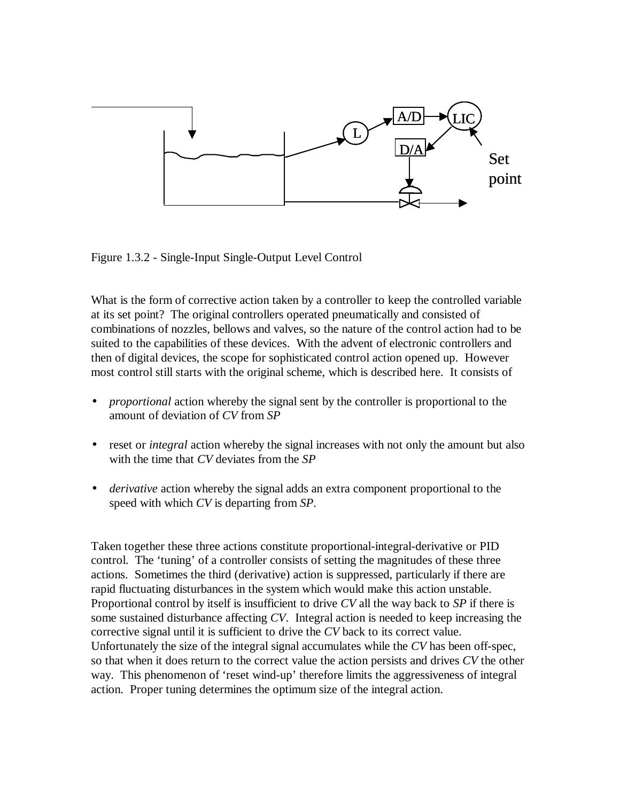

Figure 1.3.2 - Single-Input Single-Output Level Control

What is the form of corrective action taken by a controller to keep the controlled variable at its set point? The original controllers operated pneumatically and consisted of combinations of nozzles, bellows and valves, so the nature of the control action had to be suited to the capabilities of these devices. With the advent of electronic controllers and then of digital devices, the scope for sophisticated control action opened up. However most control still starts with the original scheme, which is described here. It consists of

- *proportional* action whereby the signal sent by the controller is proportional to the amount of deviation of *CV* from *SP*
- reset or *integral* action whereby the signal increases with not only the amount but also with the time that *CV* deviates from the *SP*
- *derivative* action whereby the signal adds an extra component proportional to the speed with which *CV* is departing from *SP*.

Taken together these three actions constitute proportional-integral-derivative or PID control. The 'tuning' of a controller consists of setting the magnitudes of these three actions. Sometimes the third (derivative) action is suppressed, particularly if there are rapid fluctuating disturbances in the system which would make this action unstable. Proportional control by itself is insufficient to drive *CV* all the way back to *SP* if there is some sustained disturbance affecting *CV*. Integral action is needed to keep increasing the corrective signal until it is sufficient to drive the *CV* back to its correct value. Unfortunately the size of the integral signal accumulates while the *CV* has been off-spec, so that when it does return to the correct value the action persists and drives *CV* the other way. This phenomenon of 'reset wind-up' therefore limits the aggressiveness of integral action. Proper tuning determines the optimum size of the integral action.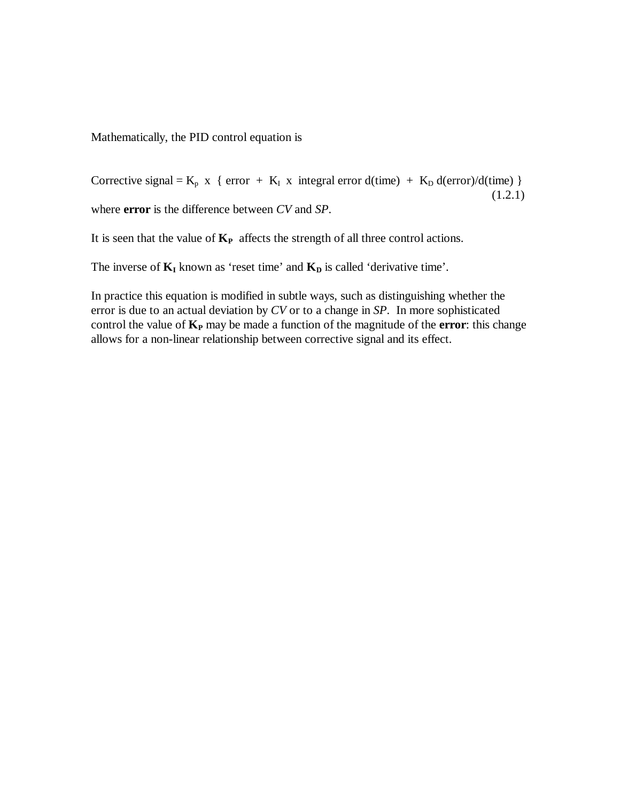Mathematically, the PID control equation is

Corrective signal =  $K_p$  x { error +  $K_I$  x integral error d(time) +  $K_p$  d(error)/d(time) }  $(1.2.1)$ where **error** is the difference between *CV* and *SP*.

It is seen that the value of **KP** affects the strength of all three control actions.

The inverse of  $\mathbf{K}_{\mathbf{I}}$  known as 'reset time' and  $\mathbf{K}_{\mathbf{D}}$  is called 'derivative time'.

In practice this equation is modified in subtle ways, such as distinguishing whether the error is due to an actual deviation by *CV* or to a change in *SP*. In more sophisticated control the value of **K<sup>P</sup>** may be made a function of the magnitude of the **error**: this change allows for a non-linear relationship between corrective signal and its effect.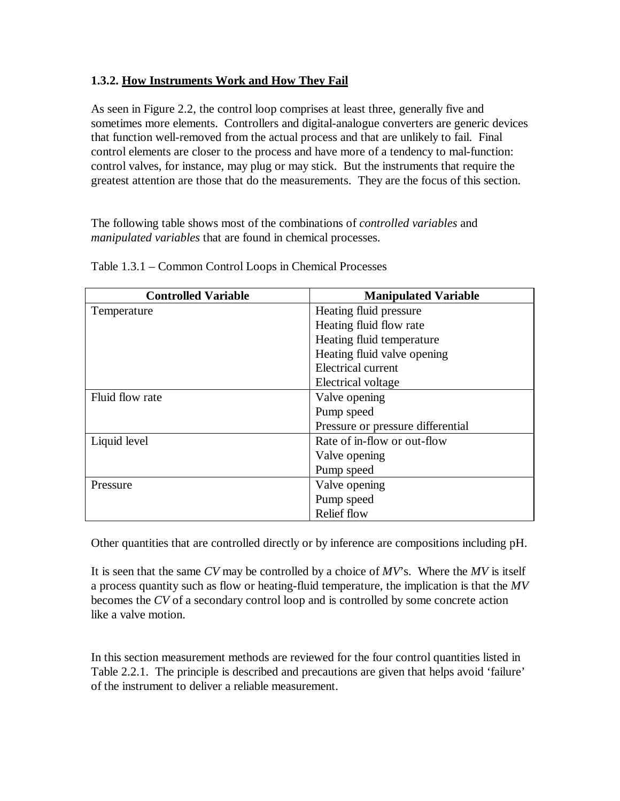## **1.3.2. How Instruments Work and How They Fail**

As seen in Figure 2.2, the control loop comprises at least three, generally five and sometimes more elements. Controllers and digital-analogue converters are generic devices that function well-removed from the actual process and that are unlikely to fail. Final control elements are closer to the process and have more of a tendency to mal-function: control valves, for instance, may plug or may stick. But the instruments that require the greatest attention are those that do the measurements. They are the focus of this section.

The following table shows most of the combinations of *controlled variables* and *manipulated variables* that are found in chemical processes.

| <b>Controlled Variable</b> | <b>Manipulated Variable</b>       |
|----------------------------|-----------------------------------|
| Temperature                | Heating fluid pressure            |
|                            | Heating fluid flow rate           |
|                            | Heating fluid temperature         |
|                            | Heating fluid valve opening       |
|                            | Electrical current                |
|                            | Electrical voltage                |
| Fluid flow rate            | Valve opening                     |
|                            | Pump speed                        |
|                            | Pressure or pressure differential |
| Liquid level               | Rate of in-flow or out-flow       |
|                            | Valve opening                     |
|                            | Pump speed                        |
| Pressure                   | Valve opening                     |
|                            | Pump speed                        |
|                            | Relief flow                       |

Table 1.3.1 – Common Control Loops in Chemical Processes

Other quantities that are controlled directly or by inference are compositions including pH.

It is seen that the same *CV* may be controlled by a choice of *MV*'s. Where the *MV* is itself a process quantity such as flow or heating-fluid temperature, the implication is that the *MV* becomes the *CV* of a secondary control loop and is controlled by some concrete action like a valve motion.

In this section measurement methods are reviewed for the four control quantities listed in Table 2.2.1. The principle is described and precautions are given that helps avoid 'failure' of the instrument to deliver a reliable measurement.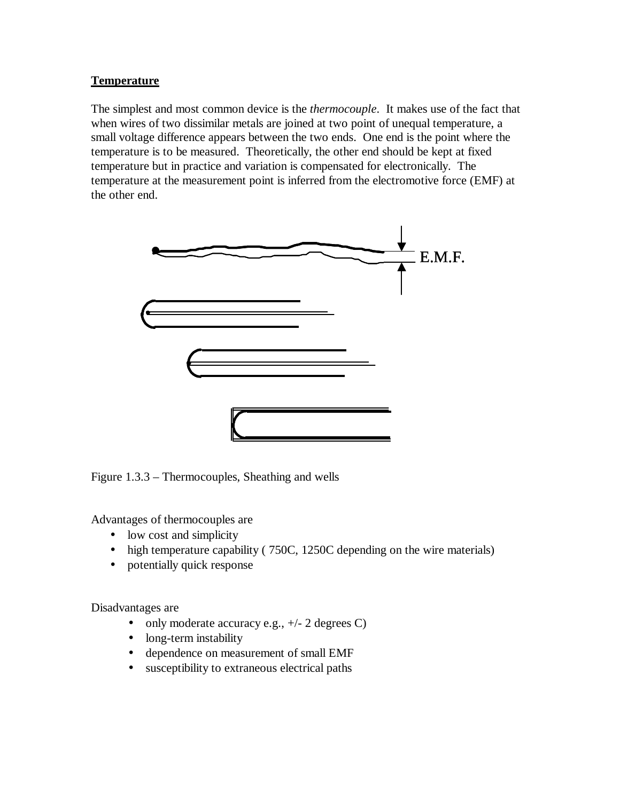## **Temperature**

The simplest and most common device is the *thermocouple*. It makes use of the fact that when wires of two dissimilar metals are joined at two point of unequal temperature, a small voltage difference appears between the two ends. One end is the point where the temperature is to be measured. Theoretically, the other end should be kept at fixed temperature but in practice and variation is compensated for electronically. The temperature at the measurement point is inferred from the electromotive force (EMF) at the other end.



Figure 1.3.3 – Thermocouples, Sheathing and wells

Advantages of thermocouples are

- low cost and simplicity
- high temperature capability (750C, 1250C depending on the wire materials)
- potentially quick response

Disadvantages are

- only moderate accuracy e.g.,  $+/- 2$  degrees C)
- long-term instability
- dependence on measurement of small EMF
- susceptibility to extraneous electrical paths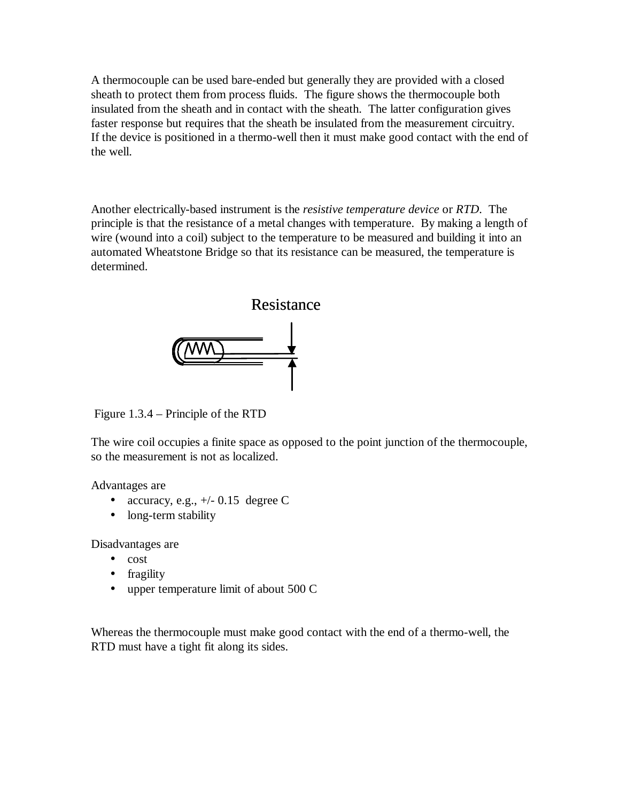A thermocouple can be used bare-ended but generally they are provided with a closed sheath to protect them from process fluids. The figure shows the thermocouple both insulated from the sheath and in contact with the sheath. The latter configuration gives faster response but requires that the sheath be insulated from the measurement circuitry. If the device is positioned in a thermo-well then it must make good contact with the end of the well.

Another electrically-based instrument is the *resistive temperature device* or *RTD*. The principle is that the resistance of a metal changes with temperature. By making a length of wire (wound into a coil) subject to the temperature to be measured and building it into an automated Wheatstone Bridge so that its resistance can be measured, the temperature is determined.



Figure 1.3.4 – Principle of the RTD

The wire coil occupies a finite space as opposed to the point junction of the thermocouple, so the measurement is not as localized.

Advantages are

- accuracy, e.g.,  $+/- 0.15$  degree C
- long-term stability

Disadvantages are

- cost
- fragility
- upper temperature limit of about 500 C

Whereas the thermocouple must make good contact with the end of a thermo-well, the RTD must have a tight fit along its sides.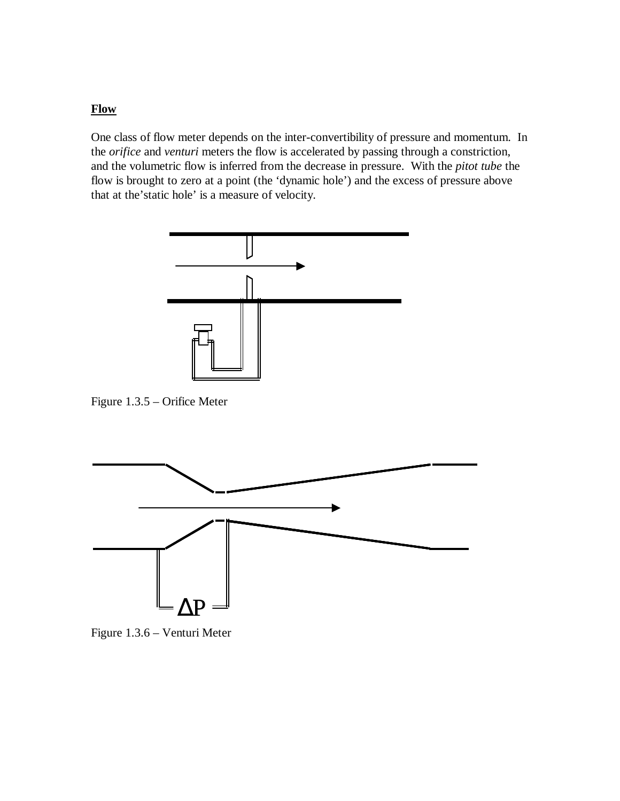#### **Flow**

One class of flow meter depends on the inter-convertibility of pressure and momentum. In the *orifice* and *venturi* meters the flow is accelerated by passing through a constriction, and the volumetric flow is inferred from the decrease in pressure. With the *pitot tube* the flow is brought to zero at a point (the 'dynamic hole') and the excess of pressure above that at the'static hole' is a measure of velocity.



Figure 1.3.5 – Orifice Meter



Figure 1.3.6 – Venturi Meter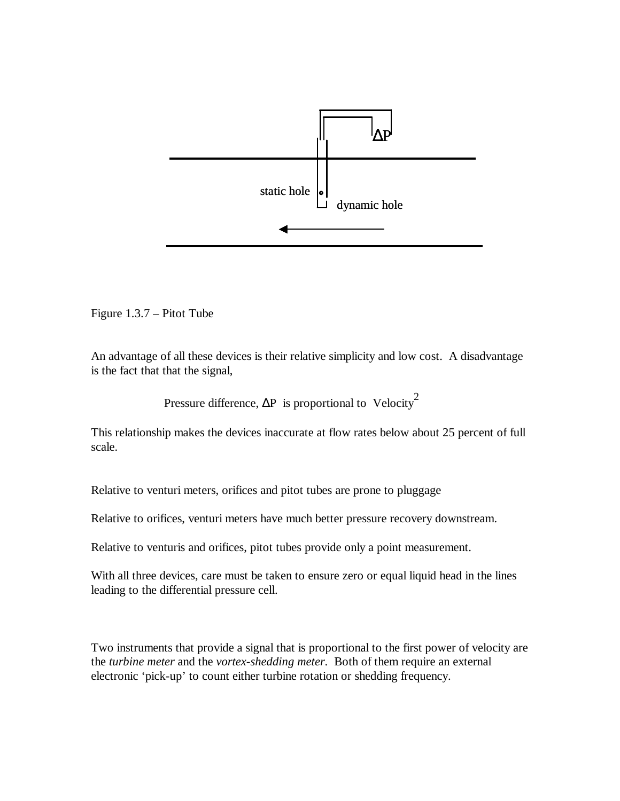

Figure 1.3.7 – Pitot Tube

An advantage of all these devices is their relative simplicity and low cost. A disadvantage is the fact that that the signal,

Pressure difference,  $\Delta P$  is proportional to Velocity<sup>2</sup>

This relationship makes the devices inaccurate at flow rates below about 25 percent of full scale.

Relative to venturi meters, orifices and pitot tubes are prone to pluggage

Relative to orifices, venturi meters have much better pressure recovery downstream.

Relative to venturis and orifices, pitot tubes provide only a point measurement.

With all three devices, care must be taken to ensure zero or equal liquid head in the lines leading to the differential pressure cell.

Two instruments that provide a signal that is proportional to the first power of velocity are the *turbine meter* and the *vortex-shedding meter*. Both of them require an external electronic 'pick-up' to count either turbine rotation or shedding frequency.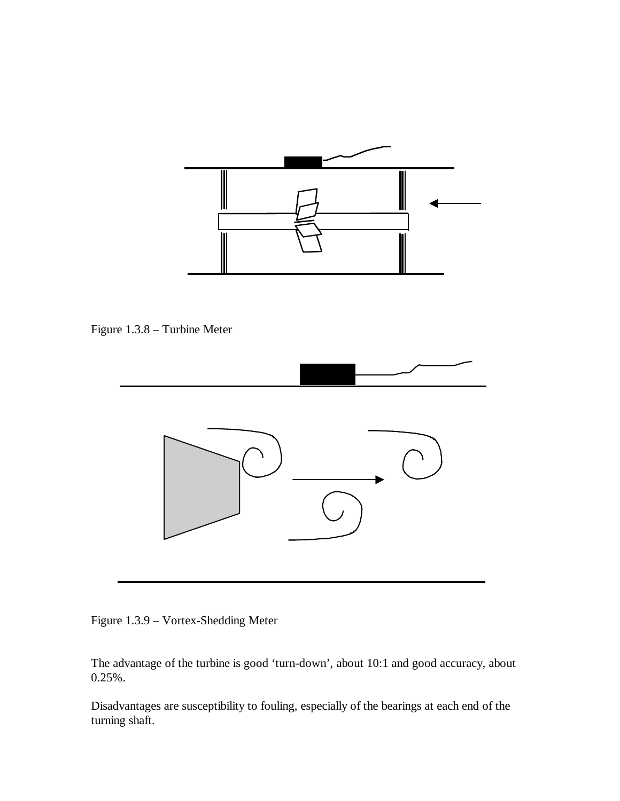

Figure 1.3.8 – Turbine Meter



Figure 1.3.9 – Vortex-Shedding Meter

The advantage of the turbine is good 'turn-down', about 10:1 and good accuracy, about 0.25%.

Disadvantages are susceptibility to fouling, especially of the bearings at each end of the turning shaft.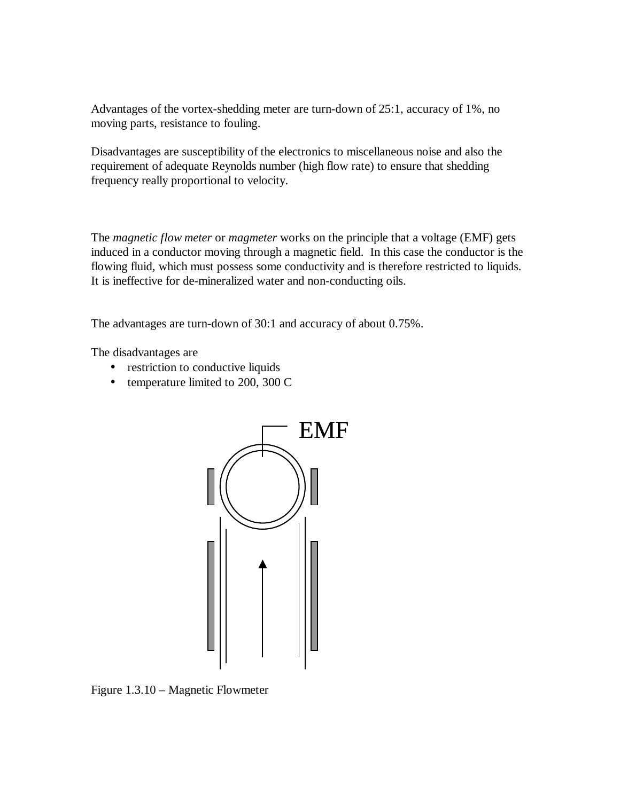Advantages of the vortex-shedding meter are turn-down of 25:1, accuracy of 1%, no moving parts, resistance to fouling.

Disadvantages are susceptibility of the electronics to miscellaneous noise and also the requirement of adequate Reynolds number (high flow rate) to ensure that shedding frequency really proportional to velocity.

The *magnetic flow meter* or *magmeter* works on the principle that a voltage (EMF) gets induced in a conductor moving through a magnetic field. In this case the conductor is the flowing fluid, which must possess some conductivity and is therefore restricted to liquids. It is ineffective for de-mineralized water and non-conducting oils.

The advantages are turn-down of 30:1 and accuracy of about 0.75%.

The disadvantages are

- restriction to conductive liquids
- temperature limited to 200, 300 C



Figure 1.3.10 – Magnetic Flowmeter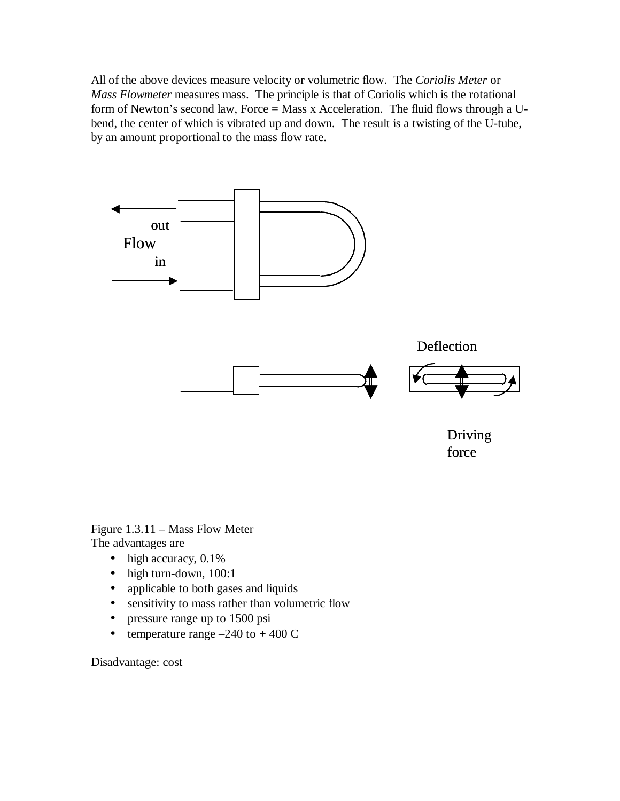All of the above devices measure velocity or volumetric flow. The *Coriolis Meter* or *Mass Flowmeter* measures mass. The principle is that of Coriolis which is the rotational form of Newton's second law, Force = Mass x Acceleration. The fluid flows through a Ubend, the center of which is vibrated up and down. The result is a twisting of the U-tube, by an amount proportional to the mass flow rate.



Figure 1.3.11 – Mass Flow Meter

The advantages are

- high accuracy,  $0.1\%$
- high turn-down, 100:1
- applicable to both gases and liquids
- sensitivity to mass rather than volumetric flow
- pressure range up to 1500 psi
- temperature range  $-240$  to  $+ 400$  C

Disadvantage: cost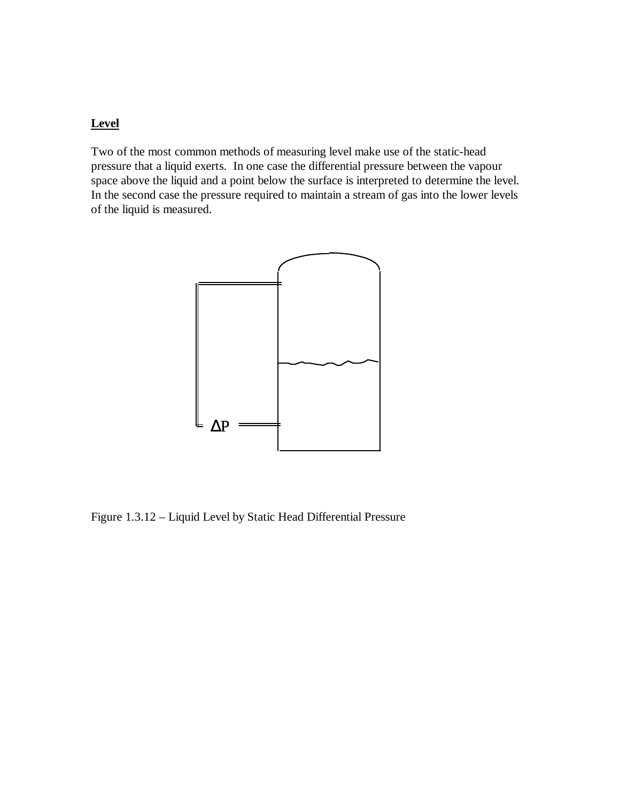### **Level**

Two of the most common methods of measuring level make use of the static-head pressure that a liquid exerts. In one case the differential pressure between the vapour space above the liquid and a point below the surface is interpreted to determine the level. In the second case the pressure required to maintain a stream of gas into the lower levels of the liquid is measured.



Figure 1.3.12 – Liquid Level by Static Head Differential Pressure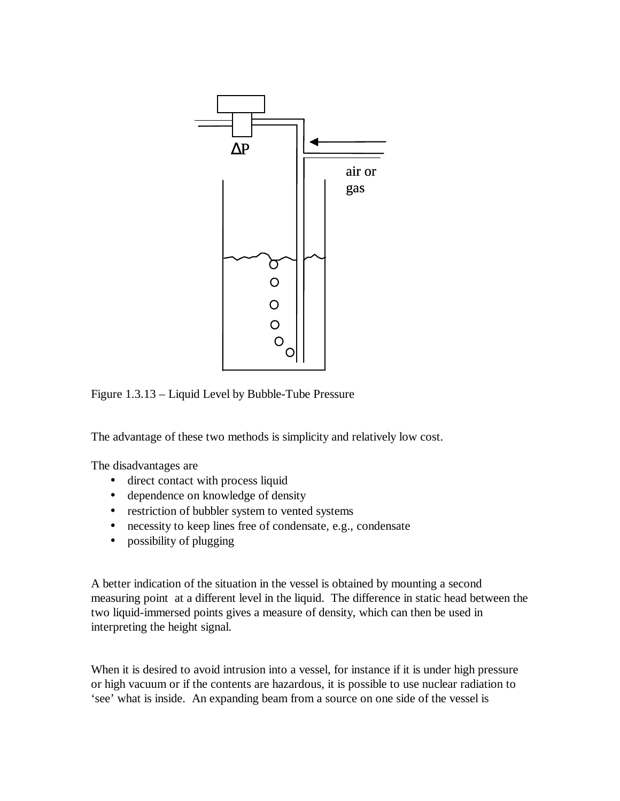

Figure 1.3.13 – Liquid Level by Bubble-Tube Pressure

The advantage of these two methods is simplicity and relatively low cost.

The disadvantages are

- direct contact with process liquid
- dependence on knowledge of density
- restriction of bubbler system to vented systems
- necessity to keep lines free of condensate, e.g., condensate
- possibility of plugging

A better indication of the situation in the vessel is obtained by mounting a second measuring point at a different level in the liquid. The difference in static head between the two liquid-immersed points gives a measure of density, which can then be used in interpreting the height signal.

When it is desired to avoid intrusion into a vessel, for instance if it is under high pressure or high vacuum or if the contents are hazardous, it is possible to use nuclear radiation to 'see' what is inside. An expanding beam from a source on one side of the vessel is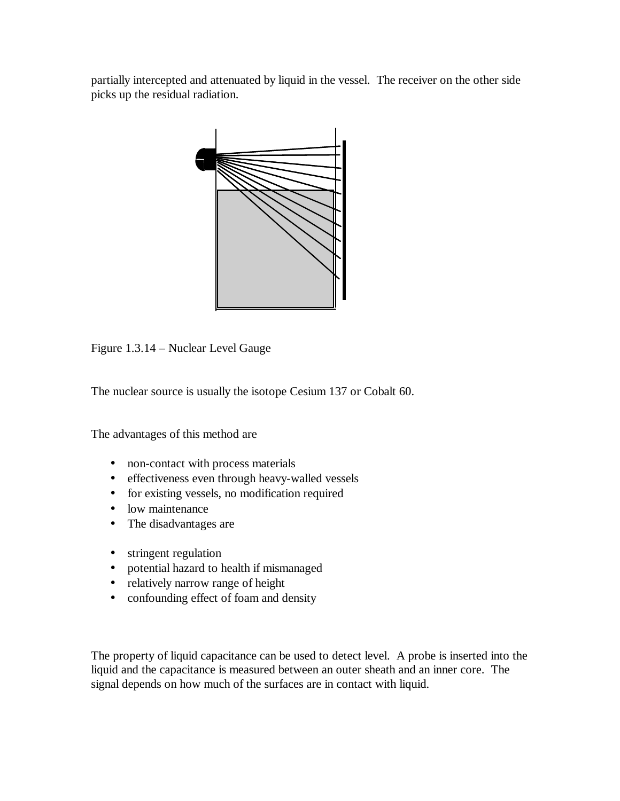partially intercepted and attenuated by liquid in the vessel. The receiver on the other side picks up the residual radiation.



Figure 1.3.14 – Nuclear Level Gauge

The nuclear source is usually the isotope Cesium 137 or Cobalt 60.

The advantages of this method are

- non-contact with process materials
- effectiveness even through heavy-walled vessels
- for existing vessels, no modification required
- low maintenance
- The disadvantages are
- stringent regulation
- potential hazard to health if mismanaged
- relatively narrow range of height
- confounding effect of foam and density

The property of liquid capacitance can be used to detect level. A probe is inserted into the liquid and the capacitance is measured between an outer sheath and an inner core. The signal depends on how much of the surfaces are in contact with liquid.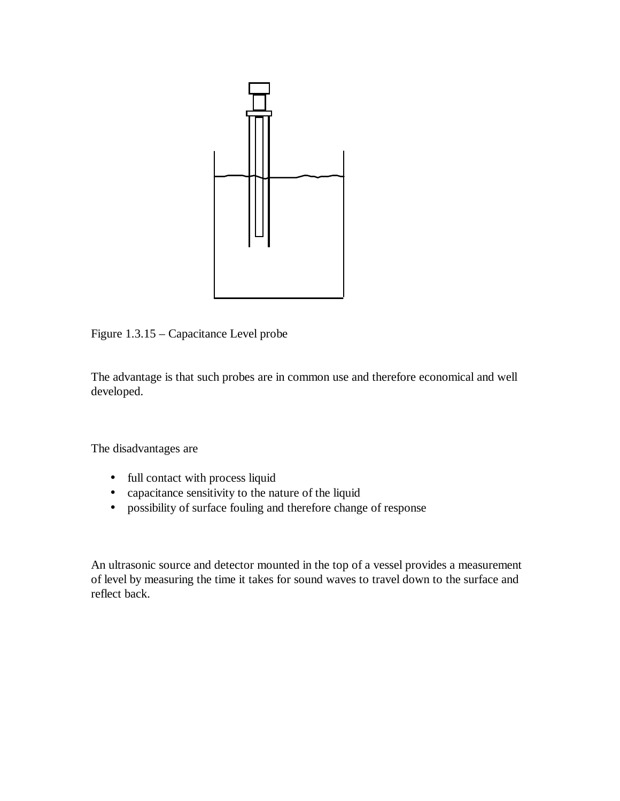

Figure 1.3.15 – Capacitance Level probe

The advantage is that such probes are in common use and therefore economical and well developed.

The disadvantages are

- full contact with process liquid
- capacitance sensitivity to the nature of the liquid
- possibility of surface fouling and therefore change of response

An ultrasonic source and detector mounted in the top of a vessel provides a measurement of level by measuring the time it takes for sound waves to travel down to the surface and reflect back.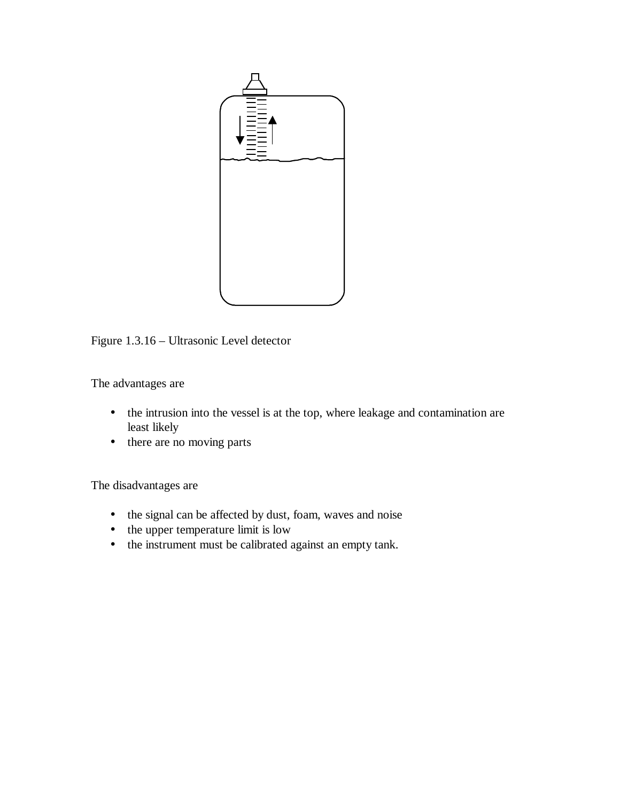

Figure 1.3.16 – Ultrasonic Level detector

The advantages are

- the intrusion into the vessel is at the top, where leakage and contamination are least likely
- there are no moving parts

The disadvantages are

- the signal can be affected by dust, foam, waves and noise
- the upper temperature limit is low
- the instrument must be calibrated against an empty tank.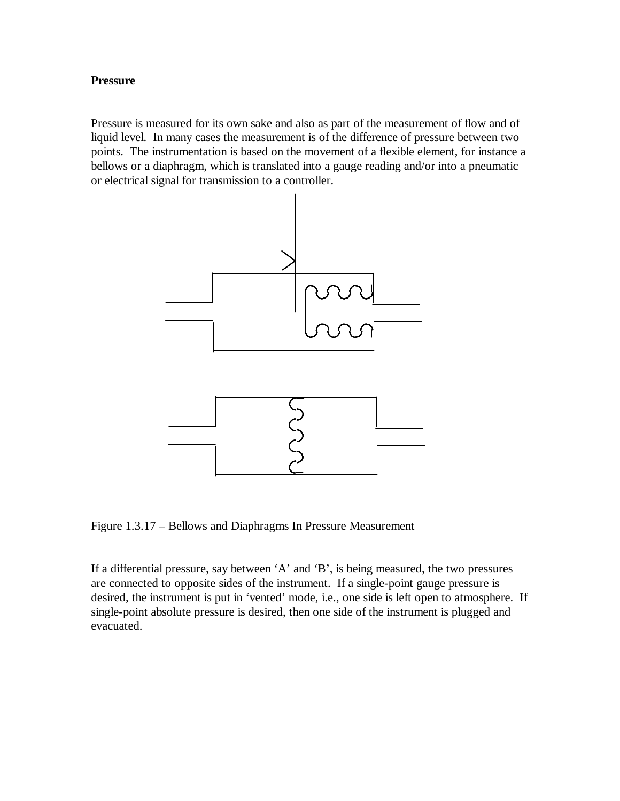#### **Pressure**

Pressure is measured for its own sake and also as part of the measurement of flow and of liquid level. In many cases the measurement is of the difference of pressure between two points. The instrumentation is based on the movement of a flexible element, for instance a bellows or a diaphragm, which is translated into a gauge reading and/or into a pneumatic or electrical signal for transmission to a controller.



Figure 1.3.17 – Bellows and Diaphragms In Pressure Measurement

If a differential pressure, say between 'A' and 'B', is being measured, the two pressures are connected to opposite sides of the instrument. If a single-point gauge pressure is desired, the instrument is put in 'vented' mode, i.e., one side is left open to atmosphere. If single-point absolute pressure is desired, then one side of the instrument is plugged and evacuated.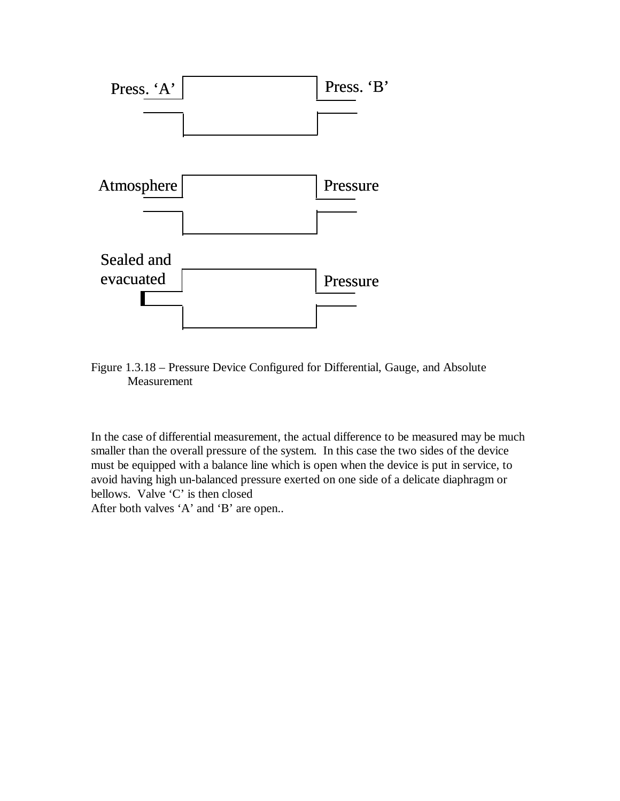

Figure 1.3.18 – Pressure Device Configured for Differential, Gauge, and Absolute Measurement

In the case of differential measurement, the actual difference to be measured may be much smaller than the overall pressure of the system. In this case the two sides of the device must be equipped with a balance line which is open when the device is put in service, to avoid having high un-balanced pressure exerted on one side of a delicate diaphragm or bellows. Valve 'C' is then closed After both valves 'A' and 'B' are open..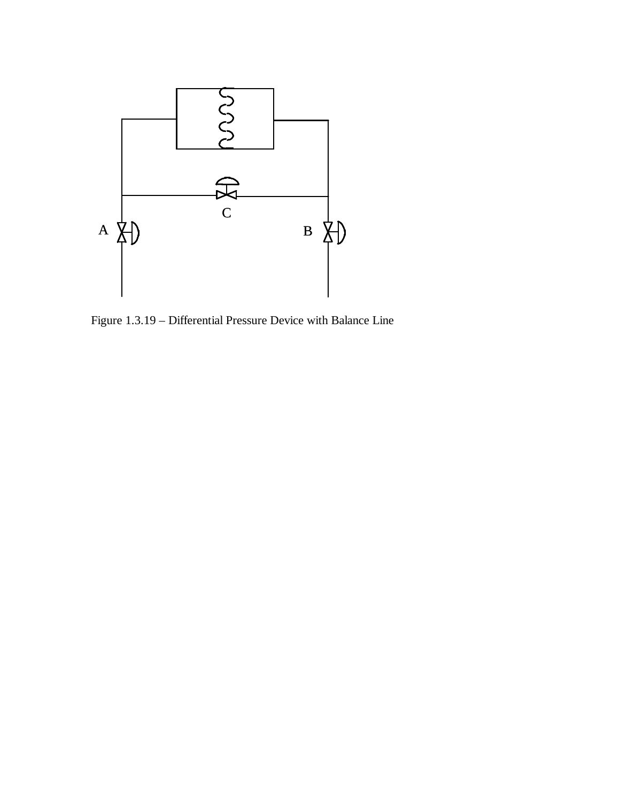

Figure 1.3.19 – Differential Pressure Device with Balance Line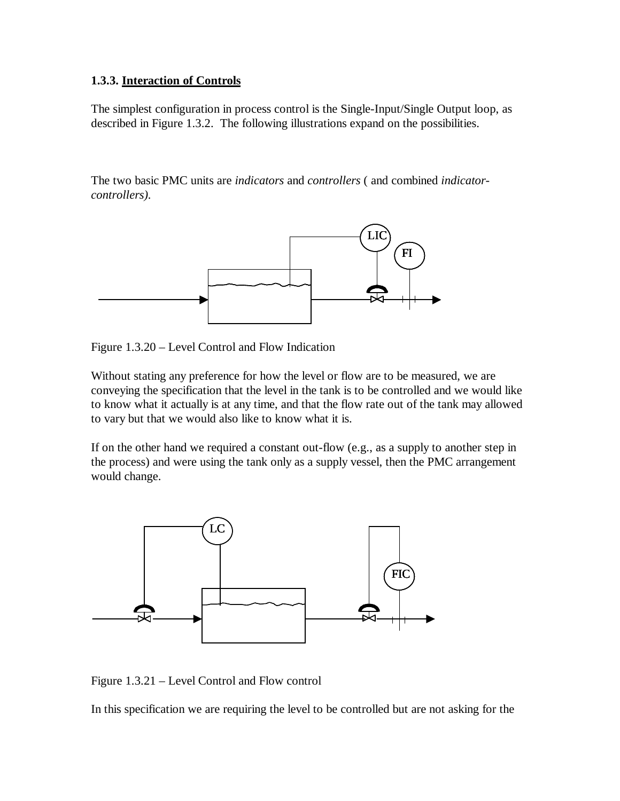### **1.3.3. Interaction of Controls**

The simplest configuration in process control is the Single-Input/Single Output loop, as described in Figure 1.3.2. The following illustrations expand on the possibilities.

The two basic PMC units are *indicators* and *controllers* ( and combined *indicatorcontrollers).* 



Figure 1.3.20 – Level Control and Flow Indication

Without stating any preference for how the level or flow are to be measured, we are conveying the specification that the level in the tank is to be controlled and we would like to know what it actually is at any time, and that the flow rate out of the tank may allowed to vary but that we would also like to know what it is.

If on the other hand we required a constant out-flow (e.g., as a supply to another step in the process) and were using the tank only as a supply vessel, then the PMC arrangement would change.



Figure 1.3.21 – Level Control and Flow control

In this specification we are requiring the level to be controlled but are not asking for the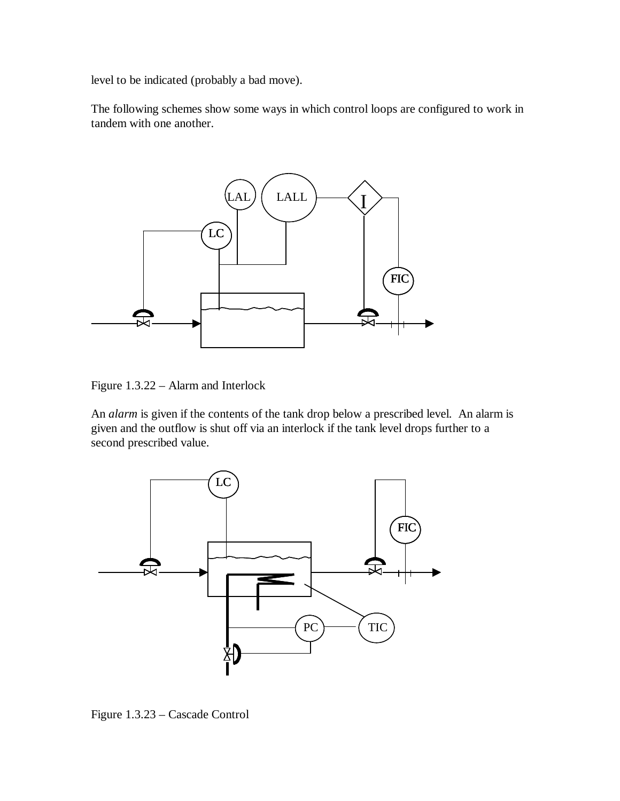level to be indicated (probably a bad move).

The following schemes show some ways in which control loops are configured to work in tandem with one another.



Figure 1.3.22 – Alarm and Interlock

An *alarm* is given if the contents of the tank drop below a prescribed level. An alarm is given and the outflow is shut off via an interlock if the tank level drops further to a second prescribed value.



Figure 1.3.23 – Cascade Control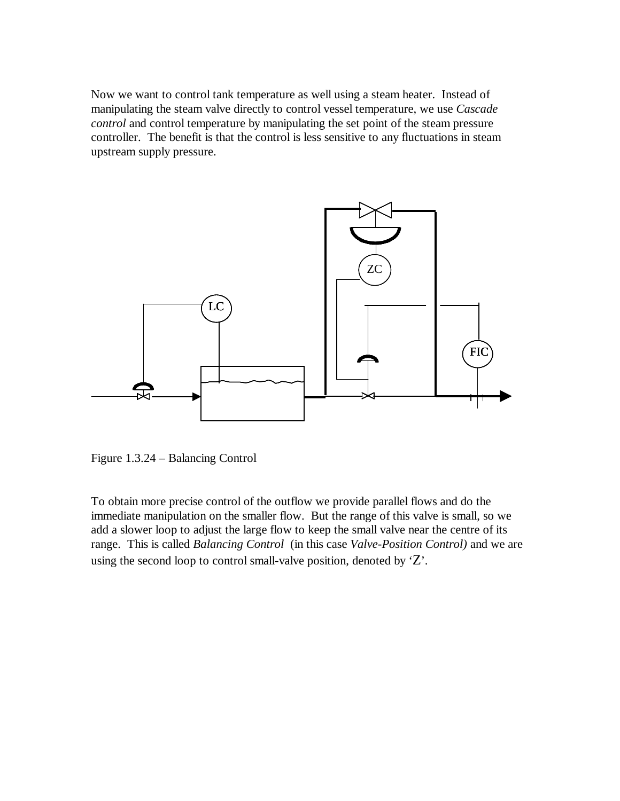Now we want to control tank temperature as well using a steam heater. Instead of manipulating the steam valve directly to control vessel temperature, we use *Cascade control* and control temperature by manipulating the set point of the steam pressure controller. The benefit is that the control is less sensitive to any fluctuations in steam upstream supply pressure.



Figure 1.3.24 – Balancing Control

To obtain more precise control of the outflow we provide parallel flows and do the immediate manipulation on the smaller flow. But the range of this valve is small, so we add a slower loop to adjust the large flow to keep the small valve near the centre of its range. This is called *Balancing Control* (in this case *Valve-Position Control)* and we are using the second loop to control small-valve position, denoted by  $Z$ .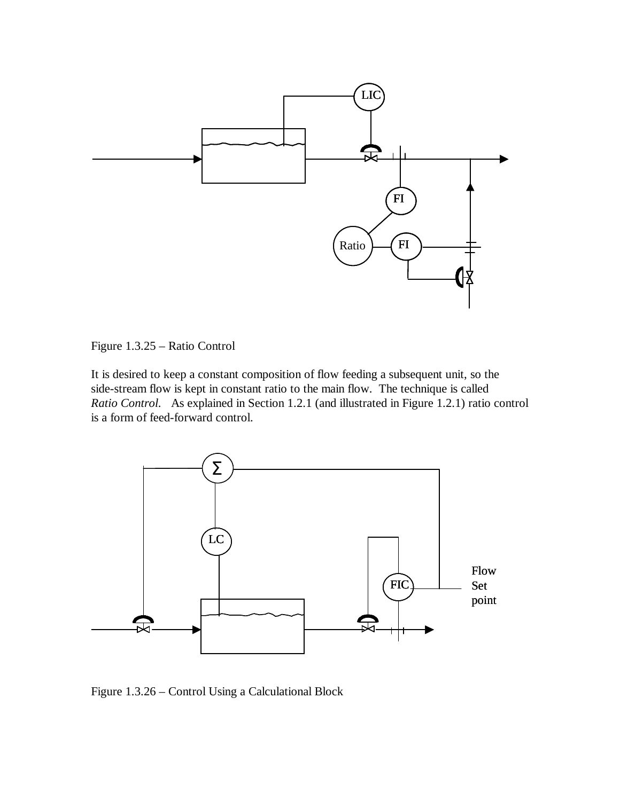



It is desired to keep a constant composition of flow feeding a subsequent unit, so the side-stream flow is kept in constant ratio to the main flow. The technique is called *Ratio Control.* As explained in Section 1.2.1 (and illustrated in Figure 1.2.1) ratio control is a form of feed-forward control.



Figure 1.3.26 – Control Using a Calculational Block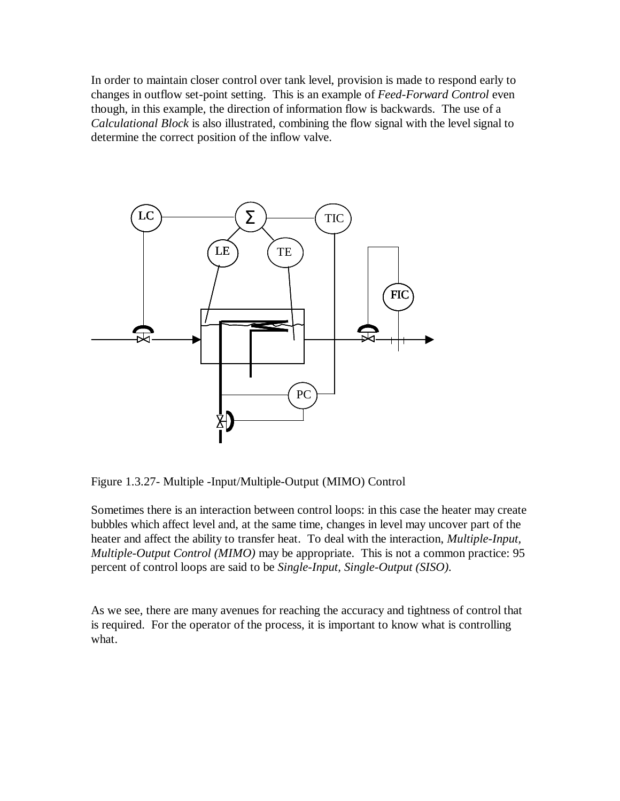In order to maintain closer control over tank level, provision is made to respond early to changes in outflow set-point setting. This is an example of *Feed-Forward Control* even though, in this example, the direction of information flow is backwards. The use of a *Calculational Block* is also illustrated, combining the flow signal with the level signal to determine the correct position of the inflow valve.



Figure 1.3.27- Multiple -Input/Multiple-Output (MIMO) Control

Sometimes there is an interaction between control loops: in this case the heater may create bubbles which affect level and, at the same time, changes in level may uncover part of the heater and affect the ability to transfer heat. To deal with the interaction, *Multiple-Input, Multiple-Output Control (MIMO)* may be appropriate. This is not a common practice: 95 percent of control loops are said to be *Single-Input, Single-Output (SISO).*

As we see, there are many avenues for reaching the accuracy and tightness of control that is required. For the operator of the process, it is important to know what is controlling what.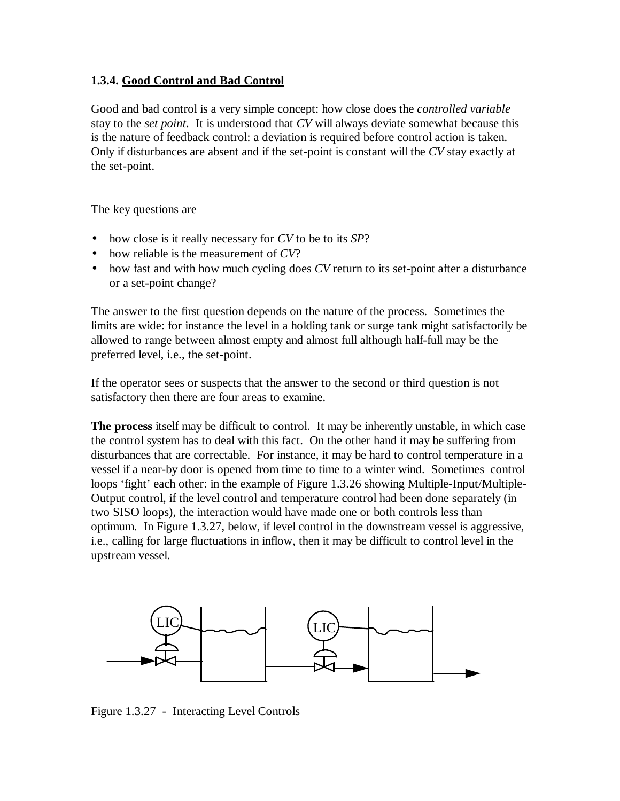### **1.3.4. Good Control and Bad Control**

Good and bad control is a very simple concept: how close does the *controlled variable* stay to the *set point*. It is understood that *CV* will always deviate somewhat because this is the nature of feedback control: a deviation is required before control action is taken. Only if disturbances are absent and if the set-point is constant will the *CV* stay exactly at the set-point.

The key questions are

- how close is it really necessary for *CV* to be to its *SP*?
- how reliable is the measurement of *CV*?
- how fast and with how much cycling does *CV* return to its set-point after a disturbance or a set-point change?

The answer to the first question depends on the nature of the process. Sometimes the limits are wide: for instance the level in a holding tank or surge tank might satisfactorily be allowed to range between almost empty and almost full although half-full may be the preferred level, i.e., the set-point.

If the operator sees or suspects that the answer to the second or third question is not satisfactory then there are four areas to examine.

**The process** itself may be difficult to control. It may be inherently unstable, in which case the control system has to deal with this fact. On the other hand it may be suffering from disturbances that are correctable. For instance, it may be hard to control temperature in a vessel if a near-by door is opened from time to time to a winter wind. Sometimes control loops 'fight' each other: in the example of Figure 1.3.26 showing Multiple-Input/Multiple-Output control, if the level control and temperature control had been done separately (in two SISO loops), the interaction would have made one or both controls less than optimum. In Figure 1.3.27, below, if level control in the downstream vessel is aggressive, i.e., calling for large fluctuations in inflow, then it may be difficult to control level in the upstream vessel.



Figure 1.3.27 - Interacting Level Controls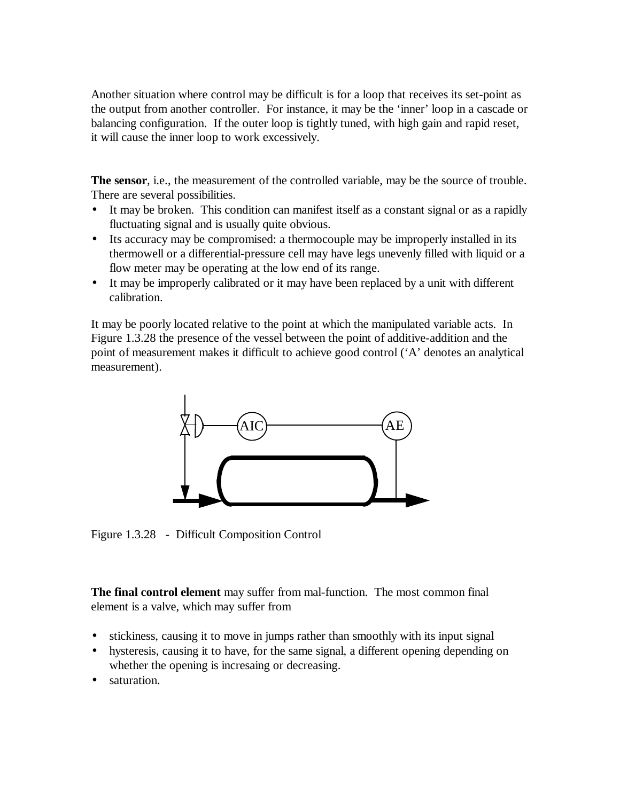Another situation where control may be difficult is for a loop that receives its set-point as the output from another controller. For instance, it may be the 'inner' loop in a cascade or balancing configuration. If the outer loop is tightly tuned, with high gain and rapid reset, it will cause the inner loop to work excessively.

**The sensor**, i.e., the measurement of the controlled variable, may be the source of trouble. There are several possibilities.

- It may be broken. This condition can manifest itself as a constant signal or as a rapidly fluctuating signal and is usually quite obvious.
- Its accuracy may be compromised: a thermocouple may be improperly installed in its thermowell or a differential-pressure cell may have legs unevenly filled with liquid or a flow meter may be operating at the low end of its range.
- It may be improperly calibrated or it may have been replaced by a unit with different calibration.

It may be poorly located relative to the point at which the manipulated variable acts. In Figure 1.3.28 the presence of the vessel between the point of additive-addition and the point of measurement makes it difficult to achieve good control ('A' denotes an analytical measurement).



Figure 1.3.28 - Difficult Composition Control

**The final control element** may suffer from mal-function. The most common final element is a valve, which may suffer from

- stickiness, causing it to move in jumps rather than smoothly with its input signal
- hysteresis, causing it to have, for the same signal, a different opening depending on whether the opening is increasing or decreasing.
- saturation.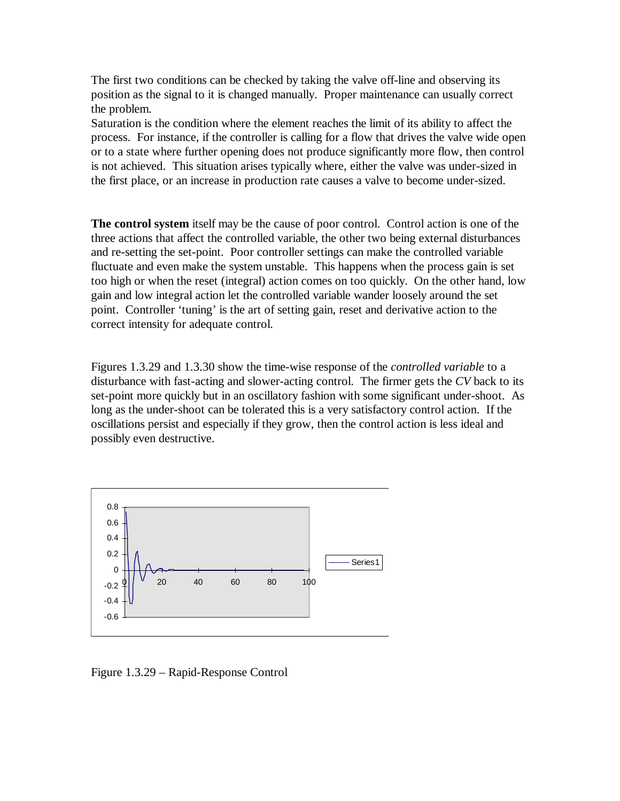The first two conditions can be checked by taking the valve off-line and observing its position as the signal to it is changed manually. Proper maintenance can usually correct the problem.

Saturation is the condition where the element reaches the limit of its ability to affect the process. For instance, if the controller is calling for a flow that drives the valve wide open or to a state where further opening does not produce significantly more flow, then control is not achieved. This situation arises typically where, either the valve was under-sized in the first place, or an increase in production rate causes a valve to become under-sized.

**The control system** itself may be the cause of poor control. Control action is one of the three actions that affect the controlled variable, the other two being external disturbances and re-setting the set-point. Poor controller settings can make the controlled variable fluctuate and even make the system unstable. This happens when the process gain is set too high or when the reset (integral) action comes on too quickly. On the other hand, low gain and low integral action let the controlled variable wander loosely around the set point. Controller 'tuning' is the art of setting gain, reset and derivative action to the correct intensity for adequate control.

Figures 1.3.29 and 1.3.30 show the time-wise response of the *controlled variable* to a disturbance with fast-acting and slower-acting control. The firmer gets the *CV* back to its set-point more quickly but in an oscillatory fashion with some significant under-shoot. As long as the under-shoot can be tolerated this is a very satisfactory control action. If the oscillations persist and especially if they grow, then the control action is less ideal and possibly even destructive.



Figure 1.3.29 – Rapid-Response Control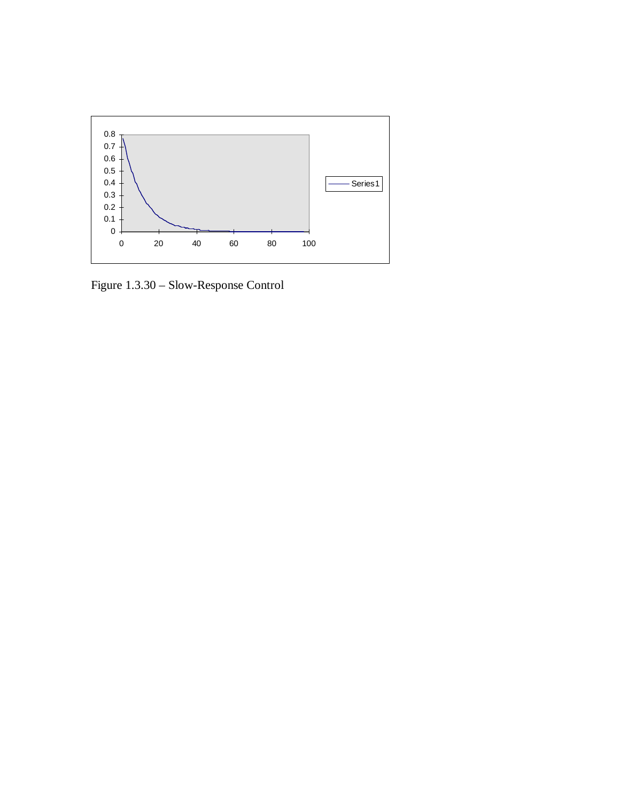

Figure 1.3.30 – Slow-Response Control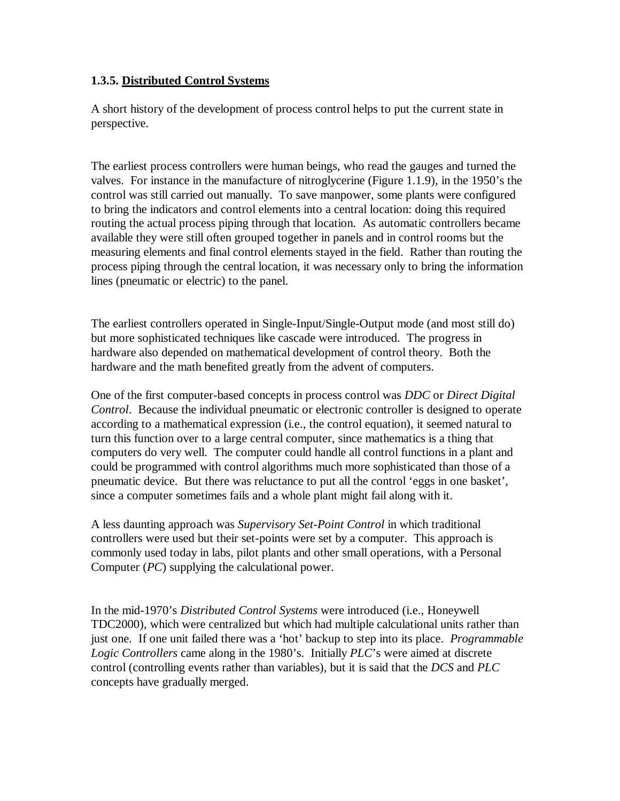### **1.3.5. Distributed Control Systems**

A short history of the development of process control helps to put the current state in perspective.

The earliest process controllers were human beings, who read the gauges and turned the valves. For instance in the manufacture of nitroglycerine (Figure 1.1.9), in the 1950's the control was still carried out manually. To save manpower, some plants were configured to bring the indicators and control elements into a central location: doing this required routing the actual process piping through that location. As automatic controllers became available they were still often grouped together in panels and in control rooms but the measuring elements and final control elements stayed in the field. Rather than routing the process piping through the central location, it was necessary only to bring the information lines (pneumatic or electric) to the panel.

The earliest controllers operated in Single-Input/Single-Output mode (and most still do) but more sophisticated techniques like cascade were introduced. The progress in hardware also depended on mathematical development of control theory. Both the hardware and the math benefited greatly from the advent of computers.

One of the first computer-based concepts in process control was *DDC* or *Direct Digital Control*. Because the individual pneumatic or electronic controller is designed to operate according to a mathematical expression (i.e., the control equation), it seemed natural to turn this function over to a large central computer, since mathematics is a thing that computers do very well. The computer could handle all control functions in a plant and could be programmed with control algorithms much more sophisticated than those of a pneumatic device. But there was reluctance to put all the control 'eggs in one basket', since a computer sometimes fails and a whole plant might fail along with it.

A less daunting approach was *Supervisory Set-Point Control* in which traditional controllers were used but their set-points were set by a computer. This approach is commonly used today in labs, pilot plants and other small operations, with a Personal Computer (*PC*) supplying the calculational power.

In the mid-1970's *Distributed Control Systems* were introduced (i.e., Honeywell TDC2000), which were centralized but which had multiple calculational units rather than just one. If one unit failed there was a 'hot' backup to step into its place. *Programmable Logic Controllers* came along in the 1980's. Initially *PLC*'s were aimed at discrete control (controlling events rather than variables), but it is said that the *DCS* and *PLC* concepts have gradually merged.